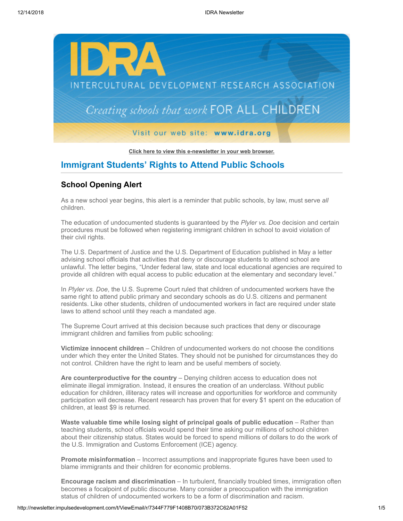

**[Click here to view this e-newsletter in your web browser.](http://newsletter.impulsedevelopment.com/t/r/e/tjjtiuy/uyyhirl/)**

# **Immigrant Students' Rights to Attend Public Schools**

## **School Opening Alert**

As a new school year begins, this alert is a reminder that public schools, by law, must serve *all* children.

The education of undocumented students is guaranteed by the *Plyler vs. Doe* decision and certain procedures must be followed when registering immigrant children in school to avoid violation of their civil rights.

The U.S. Department of Justice and the U.S. Department of Education published in May a letter advising school officials that activities that deny or discourage students to attend school are unlawful. The letter begins, "Under federal law, state and local educational agencies are required to provide all children with equal access to public education at the elementary and secondary level."

In *Plyler vs. Doe*, the U.S. Supreme Court ruled that children of undocumented workers have the same right to attend public primary and secondary schools as do U.S. citizens and permanent residents. Like other students, children of undocumented workers in fact are required under state laws to attend school until they reach a mandated age.

The Supreme Court arrived at this decision because such practices that deny or discourage immigrant children and families from public schooling:

**Victimize innocent children** – Children of undocumented workers do not choose the conditions under which they enter the United States. They should not be punished for circumstances they do not control. Children have the right to learn and be useful members of society.

**Are counterproductive for the country** – Denying children access to education does not eliminate illegal immigration. Instead, it ensures the creation of an underclass. Without public education for children, illiteracy rates will increase and opportunities for workforce and community participation will decrease. Recent research has proven that for every \$1 spent on the education of children, at least \$9 is returned.

**Waste valuable time while losing sight of principal goals of public education - Rather than** teaching students, school officials would spend their time asking our millions of school children about their citizenship status. States would be forced to spend millions of dollars to do the work of the U.S. Immigration and Customs Enforcement (ICE) agency.

**Promote misinformation** – Incorrect assumptions and inappropriate figures have been used to blame immigrants and their children for economic problems.

**Encourage racism and discrimination** – In turbulent, financially troubled times, immigration often becomes a focalpoint of public discourse. Many consider a preoccupation with the immigration status of children of undocumented workers to be a form of discrimination and racism.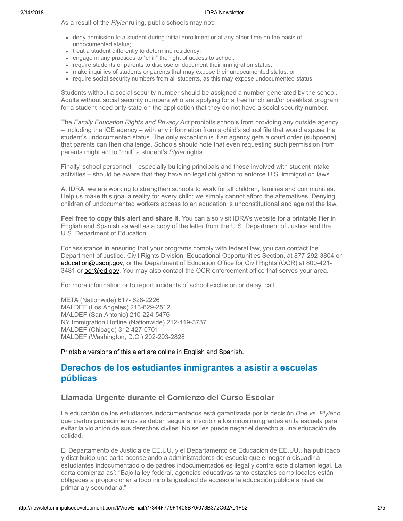As a result of the *Plyler* ruling, public schools may not:

- deny admission to a student during initial enrollment or at any other time on the basis of undocumented status;
- treat a student differently to determine residency;
- engage in any practices to "chill" the right of access to school;
- require students or parents to disclose or document their immigration status;
- make inquiries of students or parents that may expose their undocumented status; or
- require social security numbers from all students, as this may expose undocumented status.

Students without a social security number should be assigned a number generated by the school. Adults without social security numbers who are applying for a free lunch and/or breakfast program for a student need only state on the application that they do not have a social security number.

The *Family Education Rights and Privacy Act* prohibits schools from providing any outside agency – including the ICE agency – with any information from a child's school file that would expose the student's undocumented status. The only exception is if an agency gets a court order (subpoena) that parents can then challenge. Schools should note that even requesting such permission from parents might act to "chill" a student's *Plyler* rights.

Finally, school personnel – especially building principals and those involved with student intake activities – should be aware that they have no legal obligation to enforce U.S. immigration laws.

At IDRA, we are working to strengthen schools to work for all children, families and communities. Help us make this goal a reality for every child; we simply cannot afford the alternatives. Denying children of undocumented workers access to an education is unconstitutional and against the law.

**Feel free to copy this alert and share it.** You can also visit IDRA's website for a printable flier in English and Spanish as well as a copy of the letter from the U.S. Department of Justice and the U.S. Department of Education.

For assistance in ensuring that your programs comply with federal law, you can contact the Department of Justice, Civil Rights Division, Educational Opportunities Section, at 877-292-3804 or [education@usdoj.gov](mailto:education@usdoj.gov), or the Department of Education Office for Civil Rights (OCR) at 800-421-3481 or **[ocr@ed.gov](mailto:ocr@ed.gov)**. You may also contact the OCR enforcement office that serves your area.

For more information or to report incidents of school exclusion or delay, call:

META (Nationwide) 617- 628-2226 MALDEF (Los Angeles) 213-629-2512 MALDEF (San Antonio) 210-224-5476 NY Immigration Hotline (Nationwide) 212-419-3737 MALDEF (Chicago) 312-427-0701 MALDEF (Washington, D.C.) 202-293-2828

[Printable versions of this alert are online in English and Spanish.](http://newsletter.impulsedevelopment.com/t/r/l/tjjtiuy/uyyhirl/y/)

## **Derechos de los estudiantes inmigrantes a asistir a escuelas públicas**

### **Llamada Urgente durante el Comienzo del Curso Escolar**

La educación de los estudiantes indocumentados está garantizada por la decisión *Doe vs. Plyler* o que ciertos procedimientos se deben seguir al inscribir a los niños inmigrantes en la escuela para evitar la violación de sus derechos civiles. No se les puede negar el derecho a una educación de calidad.

El Departamento de Justicia de EE.UU. y el Departamento de Educación de EE.UU., ha publicado y distribuido una carta aconsejando a administradores de escuela que el negar o disuadir a estudiantes indocumentado o de padres indocumentados es ilegal y contra este dictamen legal. La carta comienza así: "Bajo la ley federal, agencias educativas tanto estatales como locales están obligadas a proporcionar a todo niño la igualdad de acceso a la educación pública a nivel de primaria y secundaria."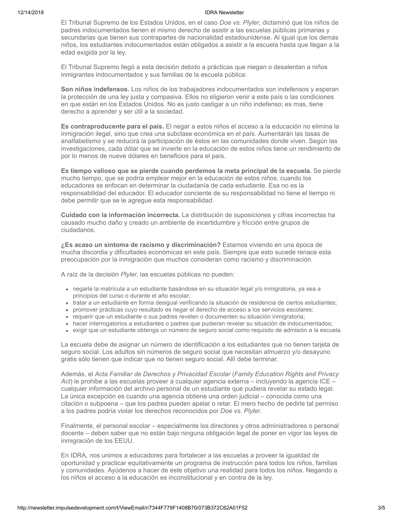El Tribunal Supremo de los Estados Unidos, en el caso *Doe vs. Plyler*, dictaminó que los niños de padres indocumentados tienen el mismo derecho de asistir a las escuelas públicas primarias y secundarias que tienen sus contrapartes de nacionalidad estadounidense. Al igual que los demás niños, los estudiantes indocumentados están obligados a asistir a la escuela hasta que llegan a la edad exigida por la ley.

El Tribunal Supremo llegó a esta decisión debido a prácticas que niegan o desalentan a niños inmigrantes indocumentados y sus familias de la escuela pública:

**Son niños indefensos.** Los niños de los trabajadores indocumentados son indefensos y esperan la protección de una ley justa y compasiva. Ellos no eligieron venir a este país o las condiciones en que están en los Estados Unidos. No es justo castigar a un niño indefenso; es mas, tiene derecho a aprender y ser útil a la sociedad.

**Es contraproducente para el país.** El negar a estos niños el acceso a la educación no elimina la inmigración ilegal, sino que crea una subclase económica en el país. Aumentarán las tasas de analfabetismo y se reducirá la participación de éstos en las comunidades donde viven. Según las investigaciones, cada dólar que se invierte en la educación de estos niños tiene un rendimiento de por lo menos de nueve dólares en beneficios para el país.

**Es tiempo valioso que se pierde cuando perdemos la meta principal de la escuela.** Se pierde mucho tiempo, que se podría emplear mejor en la educación de estos niños, cuando los educadores se enfocan en determinar la ciudadanía de cada estudiante. Esa no es la responsabilidad del educador. El educador conciente de su responsabilidad no tiene el tiempo ni debe permitir que se le agregue esta responsabilidad.

**Cuidado con la información incorrecta.** La distribución de suposiciones y cifras incorrectas ha causado mucho daño y creado un ambiente de incertidumbre y fricción entre grupos de ciudadanos.

**¿Es acaso un síntoma de racismo y discriminación?** Estamos viviendo en una época de mucha discordia y dificultades económicas en este país. Siempre que esto sucede renace esta preocupación por la inmigración que muchos consideran como racismo y discriminación.

A raíz de la decisión *Plyler*, las escuelas públicas no pueden:

- negarle la matrícula a un estudiante basándose en su situación legal y/o inmigratoria, ya sea a principios del curso o durante el año escolar;
- tratar a un estudiante en forma desigual verificando la situación de residencia de ciertos estudiantes;
- promover prácticas cuyo resultado es negar el derecho de acceso a los servicios escolares;
- requerir que un estudiante o sus padres revelen o documenten su situación inmigratoria;
- hacer interrogatorios a estudiantes o padres que pudieran revelar su situación de indocumentados;
- exigir que un estudiante obtenga un número de seguro social como requisito de admisión a la escuela.

La escuela debe de asignar un número de identificación a los estudiantes que no tienen tarjeta de seguro social. Los adultos sin números de seguro social que necesitan almuerzo y/o desayuno gratis sólo tienen que indicar que no tienen seguro social. Allí debe terminar.

Además, el *Acta Familiar de Derechos y Privacidad Escolar* (*Family Education Rights and Privacy Act*) le prohibe a las escuelas proveer a cualquier agencia externa – incluyendo la agencia ICE – cualquier información del archivo personal de un estudiante que pudiera revelar su estado legal. La única excepción es cuando una agencia obtiene una orden judicial – conocida como una citación o subpoena – que los padres pueden apelar o retar. El mero hecho de pedirle tal permiso a los padres podría violar los derechos reconocidos por *Doe vs. Plyler*.

Finalmente, el personal escolar – especialmente los directores y otros administradores o personal docente – deben saber que no están bajo ninguna obligación legal de poner en vigor las leyes de inmigración de los EEUU.

En IDRA, nos unimos a educadores para fortalecer a las escuelas a proveer la igualdad de oportunidad y practicar equitativamente un programa de instrucción para todos los niños, familias y comunidades. Ayúdenos a hacer de este objetivo una realidad para todos los niños. Negando a los niños el acceso a la educación es inconstitucional y en contra de la ley.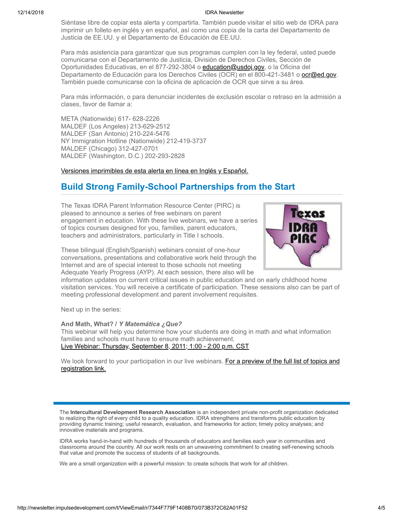Siéntase libre de copiar esta alerta y compartirla. También puede visitar el sitio web de IDRA para imprimir un folleto en inglés y en español, así como una copia de la carta del Departamento de Justicia de EE.UU. y el Departamento de Educación de EE.UU.

Para más asistencia para garantizar que sus programas cumplen con la ley federal, usted puede comunicarse con el Departamento de Justicia, División de Derechos Civiles, Sección de Oportunidades Educativas, en el 877-292-3804 o [education@usdoj.gov,](mailto:education@usdoj.gov) o la Oficina del Departamento de Educación para los Derechos Civiles (OCR) en el 800-421-3481 o **[ocr@ed.gov](mailto:ocr@ed.gov)**. También puede comunicarse con la oficina de aplicación de OCR que sirve a su área.

Para más información, o para denunciar incidentes de exclusión escolar o retraso en la admisión a clases, favor de llamar a:

META (Nationwide) 617- 628-2226 MALDEF (Los Angeles) 213-629-2512 MALDEF (San Antonio) 210-224-5476 NY Immigration Hotline (Nationwide) 212-419-3737 MALDEF (Chicago) 312-427-0701 MALDEF (Washington, D.C.) 202-293-2828

[Versiones imprimibles de esta alerta en línea en Inglés y Español.](http://newsletter.impulsedevelopment.com/t/r/l/tjjtiuy/uyyhirl/j/)

# **Build Strong Family-School Partnerships from the Start**

The Texas IDRA Parent Information Resource Center (PIRC) is pleased to announce a series of free webinars on parent engagement in education. With these live webinars, we have a series of topics courses designed for you, families, parent educators, teachers and administrators, particularly in Title I schools.

These bilingual (English/Spanish) webinars consist of one-hour conversations, presentations and collaborative work held through the Internet and are of special interest to those schools not meeting Adequate Yearly Progress (AYP). At each session, there also will be



information updates on current critical issues in public education and on early childhood home visitation services. You will receive a certificate of participation. These sessions also can be part of meeting professional development and parent involvement requisites.

Next up in the series:

### **And Math, What? /** *Y Matemática ¿Que?*

This webinar will help you determine how your students are doing in math and what information families and schools must have to ensure math achievement. [Live Webinar: Thursday, September 8, 2011; 1:00 - 2:00 p.m. CST](http://newsletter.impulsedevelopment.com/t/r/l/tjjtiuy/uyyhirl/h/)

[We look forward to your participation in our live webinars. For a preview of the full list of topics and](http://newsletter.impulsedevelopment.com/t/r/l/tjjtiuy/uyyhirl/k/) registration link.

The **Intercultural Development Research Association** is an independent private non-profit organization dedicated to realizing the right of every child to a quality education. IDRA strengthens and transforms public education by providing dynamic training; useful research, evaluation, and frameworks for action; timely policy analyses; and innovative materials and programs.

IDRA works hand-in-hand with hundreds of thousands of educators and families each year in communities and classrooms around the country. All our work rests on an unwavering commitment to creating self-renewing schools that value and promote the success of students of all backgrounds.

We are a small organization with a powerful mission: to create schools that work for *all* children.